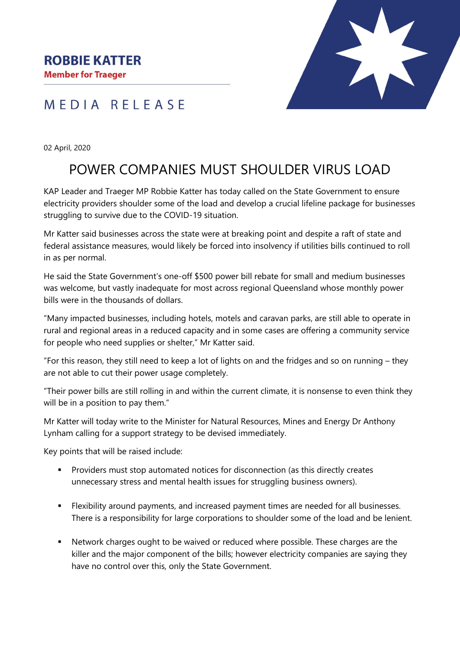MEDIA RELEASE



02 April, 2020

## POWER COMPANIES MUST SHOULDER VIRUS LOAD

KAP Leader and Traeger MP Robbie Katter has today called on the State Government to ensure electricity providers shoulder some of the load and develop a crucial lifeline package for businesses struggling to survive due to the COVID-19 situation.

Mr Katter said businesses across the state were at breaking point and despite a raft of state and federal assistance measures, would likely be forced into insolvency if utilities bills continued to roll in as per normal.

He said the State Government's one-off \$500 power bill rebate for small and medium businesses was welcome, but vastly inadequate for most across regional Queensland whose monthly power bills were in the thousands of dollars.

"Many impacted businesses, including hotels, motels and caravan parks, are still able to operate in rural and regional areas in a reduced capacity and in some cases are offering a community service for people who need supplies or shelter," Mr Katter said.

"For this reason, they still need to keep a lot of lights on and the fridges and so on running – they are not able to cut their power usage completely.

"Their power bills are still rolling in and within the current climate, it is nonsense to even think they will be in a position to pay them."

Mr Katter will today write to the Minister for Natural Resources, Mines and Energy Dr Anthony Lynham calling for a support strategy to be devised immediately.

Key points that will be raised include:

- Providers must stop automated notices for disconnection (as this directly creates unnecessary stress and mental health issues for struggling business owners).
- Flexibility around payments, and increased payment times are needed for all businesses. There is a responsibility for large corporations to shoulder some of the load and be lenient.
- Network charges ought to be waived or reduced where possible. These charges are the killer and the major component of the bills; however electricity companies are saying they have no control over this, only the State Government.